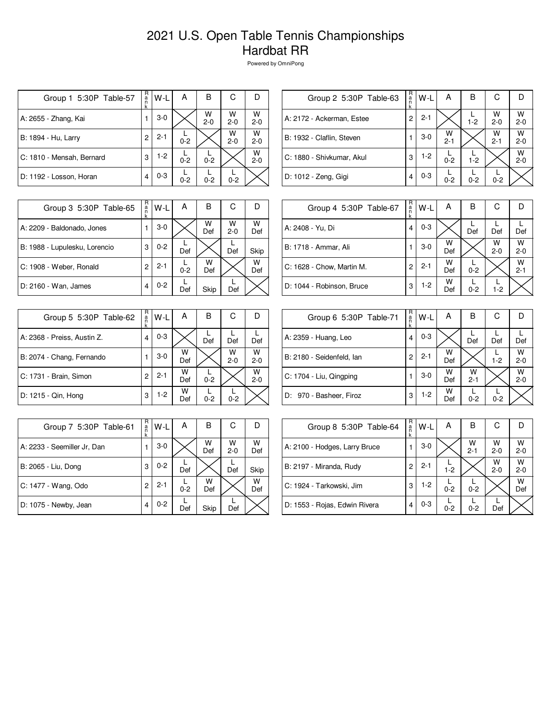## 2021 U.S. Open Table Tennis Championships Hardbat RR

Powered by OmniPong

| Group 1 5:30P Table-57    | R<br>ă<br>k | W-L     | A       | B            | С            |              |
|---------------------------|-------------|---------|---------|--------------|--------------|--------------|
| A: 2655 - Zhang, Kai      |             | $3-0$   |         | W<br>$2 - 0$ | W<br>$2 - 0$ | W<br>$2 - 0$ |
| B: 1894 - Hu, Larry       | 2           | $2 - 1$ | $0 - 2$ |              | W<br>$2 - 0$ | W<br>$2 - 0$ |
| C: 1810 - Mensah, Bernard | 3           | $1-2$   | $0 - 2$ | $0 - 2$      |              | W<br>$2 - 0$ |
| D: 1192 - Losson, Horan   | 4           | $0 - 3$ | $0 - 2$ | $0 - 2$      | $0 - 2$      |              |

| R<br>a<br>n<br>k | W-L     | Α            | в       | С            |              |
|------------------|---------|--------------|---------|--------------|--------------|
| 2                | $2 - 1$ |              | $1 - 2$ | w<br>$2 - 0$ | W<br>$2 - 0$ |
|                  | $3-0$   | w<br>$2 - 1$ |         | W<br>$2 - 1$ | W<br>$2 - 0$ |
| 3                | $1-2$   | $0 - 2$      | $1 - 2$ |              | W<br>$2 - 0$ |
| 4                | $0 - 3$ | $0 - 2$      | $0 - 2$ | $0 - 2$      |              |
|                  |         |              |         |              |              |

 $\begin{bmatrix} R \\ R \\ R \\ R \end{bmatrix} W - L \begin{bmatrix} R \\ R \end{bmatrix}$ 

B

 $\overline{C}$ 

L

 $\overline{D}$ 

Def

W

2-0

W

2-1

| Group 3 5:30P Table-65        | R<br>$\frac{a}{n}$<br>k | W-L     | А       | в        | С            | D        |
|-------------------------------|-------------------------|---------|---------|----------|--------------|----------|
| A: 2209 - Baldonado, Jones    |                         | $3-0$   |         | w<br>Def | W<br>$2 - 0$ | W<br>Def |
| B: 1988 - Lupulesku, Lorencio | 3                       | $0 - 2$ | Def     |          | Def          | Skip     |
| C: 1908 - Weber, Ronald       | 2                       | $2 - 1$ | $0 - 2$ | w<br>Def |              | W<br>Def |
| D: 2160 - Wan, James          | 4                       | $0 - 2$ | Def     | Skip     | Def          |          |

| N<br>ef  | A: 2408 - Yu, Di          | 4 | $0 - 3$ |          | Def     | Def          |
|----------|---------------------------|---|---------|----------|---------|--------------|
| kip      | B: 1718 - Ammar, Ali      |   | $3-0$   | w<br>Def |         | w<br>$2 - 0$ |
| N<br>)ef | C: 1628 - Chow, Martin M. | 2 | $2 - 1$ | w<br>Def | $0 - 2$ |              |
|          | D: 1044 - Robinson, Bruce | 3 | $1-2$   | w<br>Def | $0 - 2$ | $1 - 2$      |
|          |                           |   |         |          |         |              |

Group 4 5:30P Table-67

| Group 5 5:30P Table-62      | R<br>a<br>k | W-L     | А        | в       | С            |              |
|-----------------------------|-------------|---------|----------|---------|--------------|--------------|
| A: 2368 - Preiss, Austin Z. | 4           | $0 - 3$ |          | Def     | Def          | Def          |
| B: 2074 - Chang, Fernando   |             | $3-0$   | W<br>Def |         | W<br>$2 - 0$ | W<br>$2 - 0$ |
| C: 1731 - Brain, Simon      | 2           | $2 - 1$ | W<br>Def | $0 - 2$ |              | W<br>$2 - 0$ |
| D: 1215 - Qin, Hong         | 3           | $1-2$   | w<br>Def | $0 - 2$ | $0 - 2$      |              |

| Group 7 5:30P Table-61      | R<br>a<br>k | W-L     | А       | В        | С            |          |
|-----------------------------|-------------|---------|---------|----------|--------------|----------|
| A: 2233 - Seemiller Jr, Dan |             | $3-0$   |         | W<br>Def | W<br>$2 - 0$ | w<br>Def |
| B: 2065 - Liu, Dong         | 3           | $0 - 2$ | Def     |          | Def          | Skip     |
| C: 1477 - Wang, Odo         | 2           | $2 - 1$ | $0 - 2$ | W<br>Def |              | w<br>Def |
| D: 1075 - Newby, Jean       | 4           | $0 - 2$ | Def     | Skip     | Def          |          |

| Group 6 5:30P Table-71    | R<br>a | W-L     | А        | В            | C       |              |
|---------------------------|--------|---------|----------|--------------|---------|--------------|
| A: 2359 - Huang, Leo      | 4      | $0 - 3$ |          | Def          | Def     | Def          |
| B: 2180 - Seidenfeld, Ian | 2      | $2 - 1$ | W<br>Def |              | $1 - 2$ | W<br>$2 - 0$ |
| C: 1704 - Liu, Qingping   |        | $3-0$   | W<br>Def | W<br>$2 - 1$ |         | W<br>$2 - 0$ |
| D: 970 - Basheer, Firoz   | 3      | $1-2$   | W<br>Def | $0 - 2$      | $0 - 2$ |              |

| Group 8 5:30P Table-64        | R<br>a<br>k | W-L     | А       | в            | С            |              |
|-------------------------------|-------------|---------|---------|--------------|--------------|--------------|
| A: 2100 - Hodges, Larry Bruce |             | $3-0$   |         | W<br>$2 - 1$ | W<br>$2 - 0$ | W<br>$2 - 0$ |
| B: 2197 - Miranda, Rudy       | 2           | $2 - 1$ | $1 - 2$ |              | W<br>$2 - 0$ | W<br>$2 - 0$ |
| C: 1924 - Tarkowski, Jim      | 3           | $1-2$   | $0 - 2$ | $0 - 2$      |              | w<br>Def     |
| D: 1553 - Rojas, Edwin Rivera | 4           | $0 - 3$ | $0 - 2$ | $0 - 2$      | Def          |              |